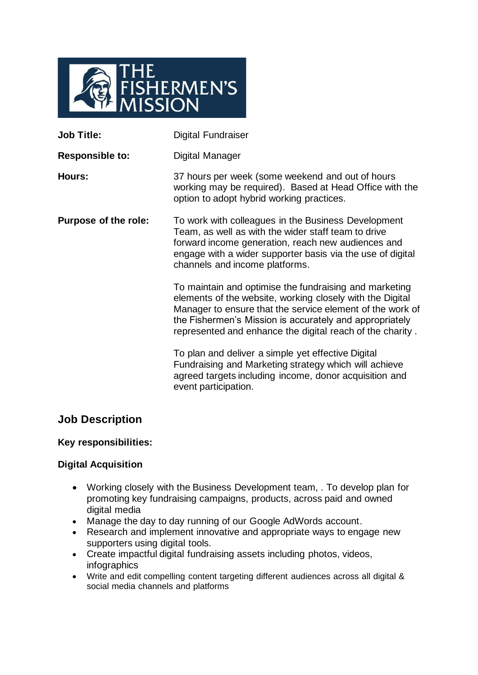

| <b>Digital Fundraiser</b>                                                                                                                                                                                                                                                                                |
|----------------------------------------------------------------------------------------------------------------------------------------------------------------------------------------------------------------------------------------------------------------------------------------------------------|
| Digital Manager                                                                                                                                                                                                                                                                                          |
| 37 hours per week (some weekend and out of hours<br>working may be required). Based at Head Office with the<br>option to adopt hybrid working practices.                                                                                                                                                 |
| To work with colleagues in the Business Development<br>Team, as well as with the wider staff team to drive<br>forward income generation, reach new audiences and<br>engage with a wider supporter basis via the use of digital<br>channels and income platforms.                                         |
| To maintain and optimise the fundraising and marketing<br>elements of the website, working closely with the Digital<br>Manager to ensure that the service element of the work of<br>the Fishermen's Mission is accurately and appropriately<br>represented and enhance the digital reach of the charity. |
| To plan and deliver a simple yet effective Digital<br>Fundraising and Marketing strategy which will achieve<br>agreed targets including income, donor acquisition and<br>event participation.                                                                                                            |
|                                                                                                                                                                                                                                                                                                          |

# **Job Description**

### **Key responsibilities:**

### **Digital Acquisition**

- Working closely with the Business Development team, . To develop plan for promoting key fundraising campaigns, products, across paid and owned digital media
- Manage the day to day running of our Google AdWords account.
- Research and implement innovative and appropriate ways to engage new supporters using digital tools.
- Create impactful digital fundraising assets including photos, videos, infographics
- Write and edit compelling content targeting different audiences across all digital & social media channels and platforms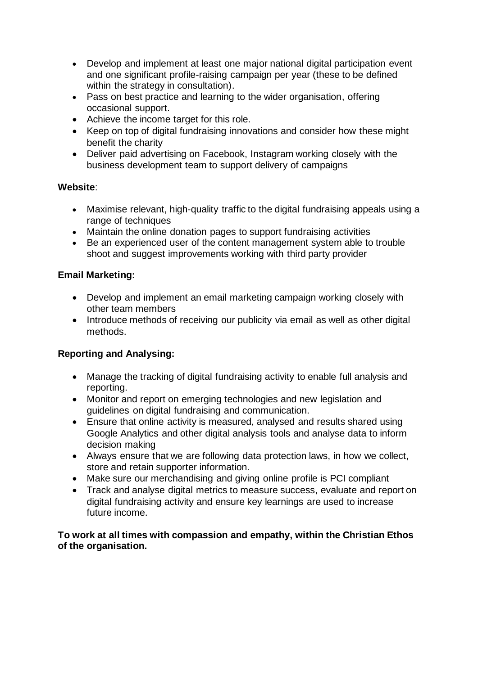- Develop and implement at least one major national digital participation event and one significant profile-raising campaign per year (these to be defined within the strategy in consultation).
- Pass on best practice and learning to the wider organisation, offering occasional support.
- Achieve the income target for this role.
- Keep on top of digital fundraising innovations and consider how these might benefit the charity
- Deliver paid advertising on Facebook, Instagram working closely with the business development team to support delivery of campaigns

## **Website**:

- Maximise relevant, high-quality traffic to the digital fundraising appeals using a range of techniques
- Maintain the online donation pages to support fundraising activities
- Be an experienced user of the content management system able to trouble shoot and suggest improvements working with third party provider

## **Email Marketing:**

- Develop and implement an email marketing campaign working closely with other team members
- Introduce methods of receiving our publicity via email as well as other digital methods.

## **Reporting and Analysing:**

- Manage the tracking of digital fundraising activity to enable full analysis and reporting.
- Monitor and report on emerging technologies and new legislation and guidelines on digital fundraising and communication.
- Ensure that online activity is measured, analysed and results shared using Google Analytics and other digital analysis tools and analyse data to inform decision making
- Always ensure that we are following data protection laws, in how we collect, store and retain supporter information.
- Make sure our merchandising and giving online profile is PCI compliant
- Track and analyse digital metrics to measure success, evaluate and report on digital fundraising activity and ensure key learnings are used to increase future income.

**To work at all times with compassion and empathy, within the Christian Ethos of the organisation.**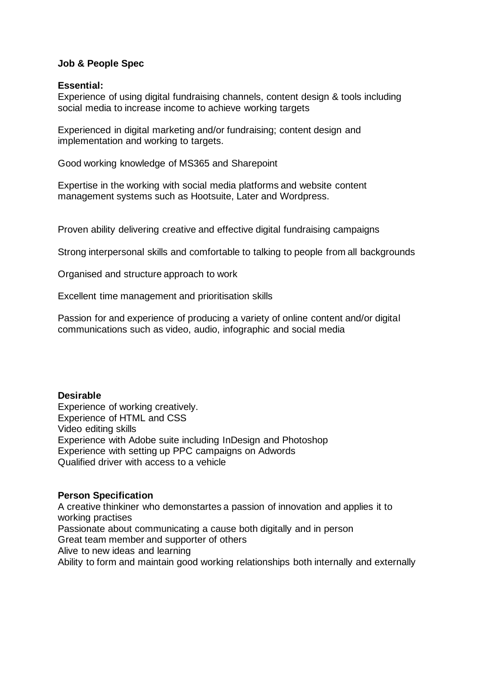### **Job & People Spec**

#### **Essential:**

Experience of using digital fundraising channels, content design & tools including social media to increase income to achieve working targets

Experienced in digital marketing and/or fundraising; content design and implementation and working to targets.

Good working knowledge of MS365 and Sharepoint

Expertise in the working with social media platforms and website content management systems such as Hootsuite, Later and Wordpress.

Proven ability delivering creative and effective digital fundraising campaigns

Strong interpersonal skills and comfortable to talking to people from all backgrounds

Organised and structure approach to work

Excellent time management and prioritisation skills

Passion for and experience of producing a variety of online content and/or digital communications such as video, audio, infographic and social media

#### **Desirable**

Experience of working creatively. Experience of HTML and CSS Video editing skills Experience with Adobe suite including InDesign and Photoshop Experience with setting up PPC campaigns on Adwords Qualified driver with access to a vehicle

### **Person Specification**

A creative thinkiner who demonstartes a passion of innovation and applies it to working practises Passionate about communicating a cause both digitally and in person Great team member and supporter of others Alive to new ideas and learning Ability to form and maintain good working relationships both internally and externally